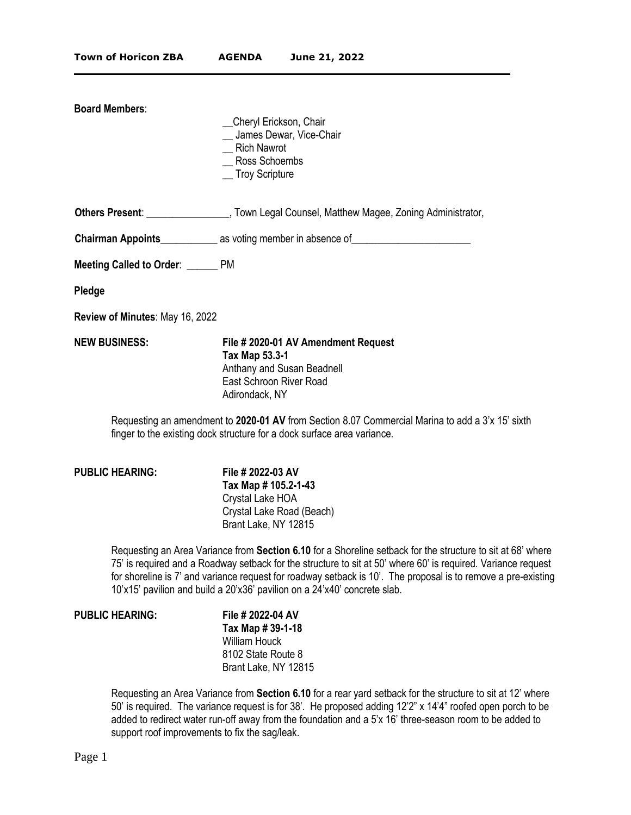| <b>Board Members:</b>                                                                                                                                                       | _Cheryl Erickson, Chair<br>_ James Dewar, Vice-Chair<br><b>Rich Nawrot</b><br>Ross Schoembs<br><sub>__</sub> Troy Scripture                                                                                                        |
|-----------------------------------------------------------------------------------------------------------------------------------------------------------------------------|------------------------------------------------------------------------------------------------------------------------------------------------------------------------------------------------------------------------------------|
|                                                                                                                                                                             | <b>Others Present:</b> ______________________, Town Legal Counsel, Matthew Magee, Zoning Administrator,                                                                                                                            |
|                                                                                                                                                                             | <b>Chairman Appoints</b> entertainment as voting member in absence of entertainment and all the control of the control of the control of the control of the control of the control of the control of the control of the control of |
| Meeting Called to Order: ______ PM                                                                                                                                          |                                                                                                                                                                                                                                    |
| Pledge                                                                                                                                                                      |                                                                                                                                                                                                                                    |
| Review of Minutes: May 16, 2022                                                                                                                                             |                                                                                                                                                                                                                                    |
| <b>NEW BUSINESS:</b>                                                                                                                                                        | File # 2020-01 AV Amendment Request<br>Tax Map 53.3-1<br>Anthany and Susan Beadnell<br>East Schroon River Road<br>Adirondack, NY                                                                                                   |
| Requesting an amendment to 2020-01 AV from Section 8.07 Commercial Marina to add a 3'x 15' sixth<br>finger to the existing dock structure for a dock surface area variance. |                                                                                                                                                                                                                                    |

 $\mathcal{L}_\mathcal{L} = \mathcal{L}_\mathcal{L} = \mathcal{L}_\mathcal{L} = \mathcal{L}_\mathcal{L} = \mathcal{L}_\mathcal{L} = \mathcal{L}_\mathcal{L} = \mathcal{L}_\mathcal{L} = \mathcal{L}_\mathcal{L} = \mathcal{L}_\mathcal{L} = \mathcal{L}_\mathcal{L} = \mathcal{L}_\mathcal{L} = \mathcal{L}_\mathcal{L} = \mathcal{L}_\mathcal{L} = \mathcal{L}_\mathcal{L} = \mathcal{L}_\mathcal{L} = \mathcal{L}_\mathcal{L} = \mathcal{L}_\mathcal{L}$ 

## **PUBLIC HEARING: File # 2022-03 AV**

**Tax Map # 105.2-1-43** Crystal Lake HOA Crystal Lake Road (Beach) Brant Lake, NY 12815

Requesting an Area Variance from **Section 6.10** for a Shoreline setback for the structure to sit at 68' where 75' is required and a Roadway setback for the structure to sit at 50' where 60' is required. Variance request for shoreline is 7' and variance request for roadway setback is 10'. The proposal is to remove a pre-existing 10'x15' pavilion and build a 20'x36' pavilion on a 24'x40' concrete slab.

## **PUBLIC HEARING: File # 2022-04 AV**

**Tax Map # 39-1-18** William Houck 8102 State Route 8 Brant Lake, NY 12815

Requesting an Area Variance from **Section 6.10** for a rear yard setback for the structure to sit at 12' where 50' is required. The variance request is for 38'. He proposed adding 12'2" x 14'4" roofed open porch to be added to redirect water run-off away from the foundation and a 5'x 16' three-season room to be added to support roof improvements to fix the sag/leak.